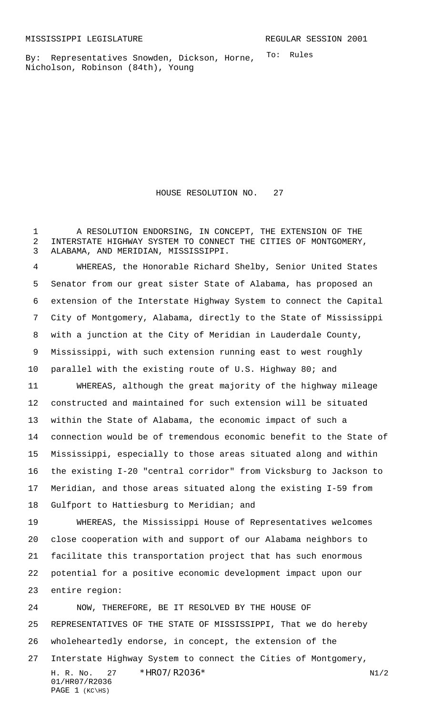To: Rules By: Representatives Snowden, Dickson, Horne, Nicholson, Robinson (84th), Young

HOUSE RESOLUTION NO. 27

 A RESOLUTION ENDORSING, IN CONCEPT, THE EXTENSION OF THE INTERSTATE HIGHWAY SYSTEM TO CONNECT THE CITIES OF MONTGOMERY, ALABAMA, AND MERIDIAN, MISSISSIPPI.

 WHEREAS, the Honorable Richard Shelby, Senior United States Senator from our great sister State of Alabama, has proposed an extension of the Interstate Highway System to connect the Capital City of Montgomery, Alabama, directly to the State of Mississippi with a junction at the City of Meridian in Lauderdale County, Mississippi, with such extension running east to west roughly parallel with the existing route of U.S. Highway 80; and WHEREAS, although the great majority of the highway mileage constructed and maintained for such extension will be situated within the State of Alabama, the economic impact of such a connection would be of tremendous economic benefit to the State of Mississippi, especially to those areas situated along and within the existing I-20 "central corridor" from Vicksburg to Jackson to Meridian, and those areas situated along the existing I-59 from 18 Gulfport to Hattiesburg to Meridian; and WHEREAS, the Mississippi House of Representatives welcomes close cooperation with and support of our Alabama neighbors to facilitate this transportation project that has such enormous

 potential for a positive economic development impact upon our entire region:

 $H. R. No. 27 * HRO7/R2036* N1/2$  NOW, THEREFORE, BE IT RESOLVED BY THE HOUSE OF REPRESENTATIVES OF THE STATE OF MISSISSIPPI, That we do hereby wholeheartedly endorse, in concept, the extension of the Interstate Highway System to connect the Cities of Montgomery,

```
01/HR07/R2036
PAGE 1 (KC\HS)
```